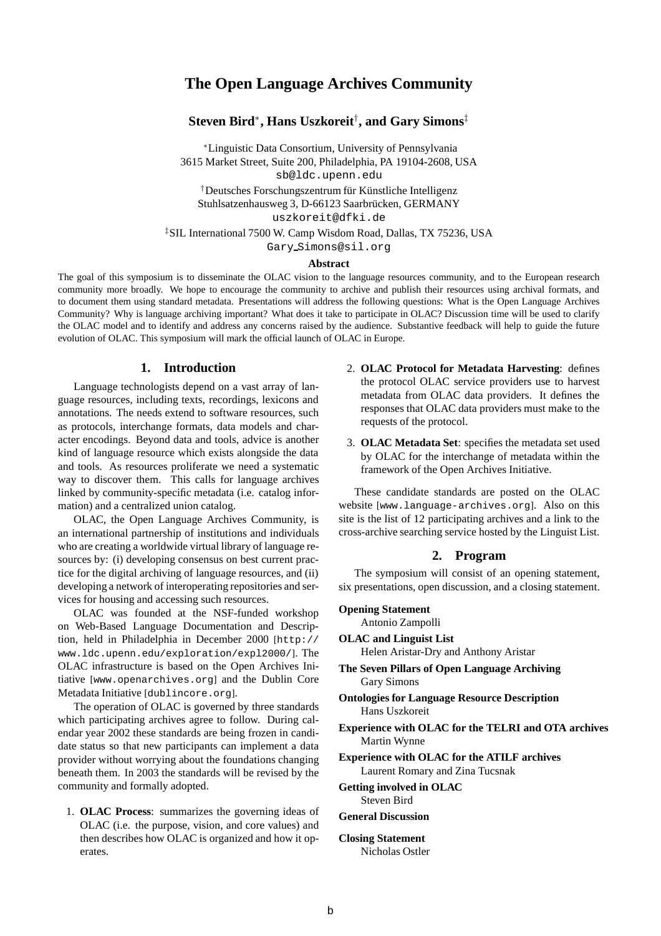# **The Open Language Archives Community**

## **Steven Bird**∗**, Hans Uszkoreit**† **, and Gary Simons**‡

<sup>∗</sup>Linguistic Data Consortium, University of Pennsylvania 3615 Market Street, Suite 200, Philadelphia, PA 19104-2608, USA

sb@ldc.upenn.edu

†Deutsches Forschungszentrum für Künstliche Intelligenz Stuhlsatzenhausweg 3, D-66123 Saarbrücken, GERMANY uszkoreit@dfki.de

‡SIL International 7500 W. Camp Wisdom Road, Dallas, TX 75236, USA

Gary Simons@sil.org

### **Abstract**

The goal of this symposium is to disseminate the OLAC vision to the language resources community, and to the European research community more broadly. We hope to encourage the community to archive and publish their resources using archival formats, and to document them using standard metadata. Presentations will address the following questions: What is the Open Language Archives Community? Why is language archiving important? What does it take to participate in OLAC? Discussion time will be used to clarify the OLAC model and to identify and address any concerns raised by the audience. Substantive feedback will help to guide the future evolution of OLAC. This symposium will mark the official launch of OLAC in Europe.

## **1. Introduction**

Language technologists depend on a vast array of language resources, including texts, recordings, lexicons and annotations. The needs extend to software resources, such as protocols, interchange formats, data models and character encodings. Beyond data and tools, advice is another kind of language resource which exists alongside the data and tools. As resources proliferate we need a systematic way to discover them. This calls for language archives linked by community-specific metadata (i.e. catalog information) and a centralized union catalog.

OLAC, the Open Language Archives Community, is an international partnership of institutions and individuals who are creating a worldwide virtual library of language resources by: (i) developing consensus on best current practice for the digital archiving of language resources, and (ii) developing a network of interoperating repositories and services for housing and accessing such resources.

OLAC was founded at the NSF-funded workshop on Web-Based Language Documentation and Description, held in Philadelphia in December 2000 [http:// www.ldc.upenn.edu/exploration/expl2000/]. The OLAC infrastructure is based on the Open Archives Initiative [www.openarchives.org] and the Dublin Core Metadata Initiative [dublincore.org].

The operation of OLAC is governed by three standards which participating archives agree to follow. During calendar year 2002 these standards are being frozen in candidate status so that new participants can implement a data provider without worrying about the foundations changing beneath them. In 2003 the standards will be revised by the community and formally adopted.

1. **OLAC Process**: summarizes the governing ideas of OLAC (i.e. the purpose, vision, and core values) and then describes how OLAC is organized and how it operates.

- 2. **OLAC Protocol for Metadata Harvesting**: defines the protocol OLAC service providers use to harvest metadata from OLAC data providers. It defines the responses that OLAC data providers must make to the requests of the protocol.
- 3. **OLAC Metadata Set**: specifies the metadata set used by OLAC for the interchange of metadata within the framework of the Open Archives Initiative.

These candidate standards are posted on the OLAC website [www.language-archives.org]. Also on this site is the list of 12 participating archives and a link to the cross-archive searching service hosted by the Linguist List.

## **2. Program**

The symposium will consist of an opening statement, six presentations, open discussion, and a closing statement.

#### **Opening Statement**

Antonio Zampolli

**OLAC and Linguist List** Helen Aristar-Dry and Anthony Aristar

- **The Seven Pillars of Open Language Archiving** Gary Simons
- **Ontologies for Language Resource Description** Hans Uszkoreit
- **Experience with OLAC for the TELRI and OTA archives** Martin Wynne
- **Experience with OLAC for the ATILF archives** Laurent Romary and Zina Tucsnak

**Getting involved in OLAC** Steven Bird

#### **General Discussion**

#### **Closing Statement** Nicholas Ostler